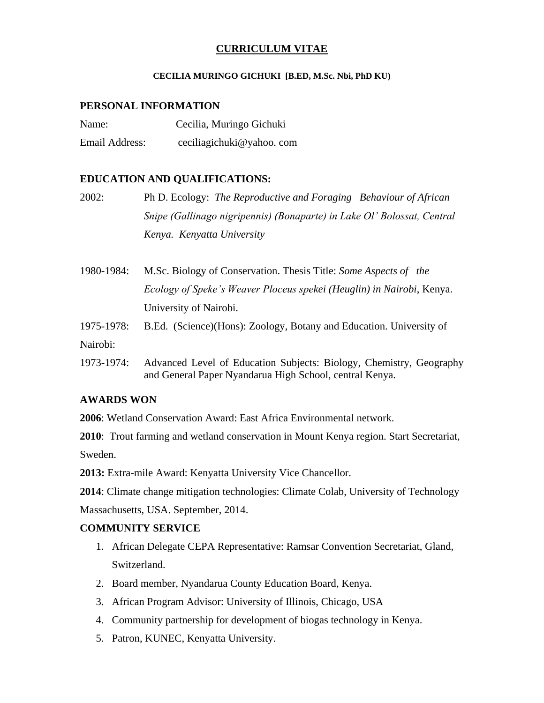## **CURRICULUM VITAE**

### **CECILIA MURINGO GICHUKI [B.ED, M.Sc. Nbi, PhD KU)**

## **PERSONAL INFORMATION**

| Name:          | Cecilia, Muringo Gichuki |
|----------------|--------------------------|
| Email Address: | ceciliagichuki@yahoo.com |

## **EDUCATION AND QUALIFICATIONS:**

| 2002: | Ph D. Ecology: The Reproductive and Foraging Behaviour of African       |
|-------|-------------------------------------------------------------------------|
|       | Snipe (Gallinago nigripennis) (Bonaparte) in Lake Ol' Bolossat, Central |
|       | Kenya. Kenyatta University                                              |

1980-1984: M.Sc. Biology of Conservation. Thesis Title: *Some Aspects of the Ecology of Speke's Weaver Ploceus spekei (Heuglin) in Nairobi*, Kenya. University of Nairobi.

- 1975-1978: B.Ed. (Science)(Hons): Zoology, Botany and Education. University of Nairobi:
- 1973-1974: Advanced Level of Education Subjects: Biology, Chemistry, Geography and General Paper Nyandarua High School, central Kenya.

## **AWARDS WON**

**2006**: Wetland Conservation Award: East Africa Environmental network.

**2010**: Trout farming and wetland conservation in Mount Kenya region. Start Secretariat, Sweden.

**2013:** Extra-mile Award: Kenyatta University Vice Chancellor.

**2014**: Climate change mitigation technologies: Climate Colab, University of Technology

Massachusetts, USA. September, 2014.

## **COMMUNITY SERVICE**

- 1. African Delegate CEPA Representative: Ramsar Convention Secretariat, Gland, Switzerland.
- 2. Board member, Nyandarua County Education Board, Kenya.
- 3. African Program Advisor: University of Illinois, Chicago, USA
- 4. Community partnership for development of biogas technology in Kenya.
- 5. Patron, KUNEC, Kenyatta University.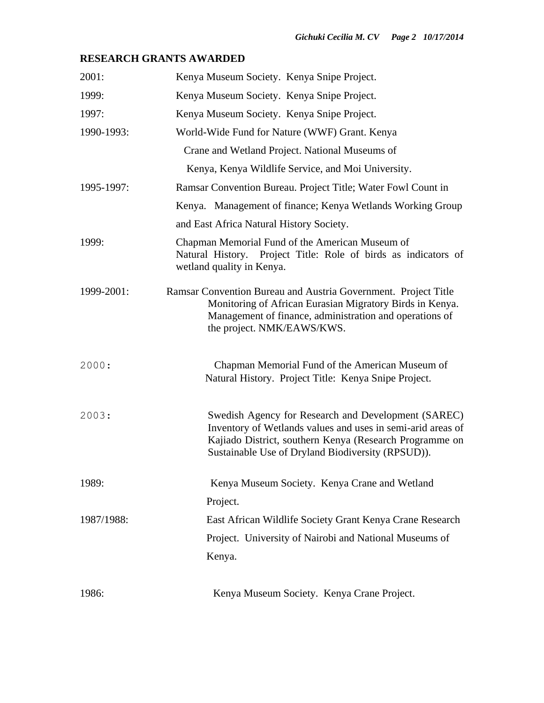# **RESEARCH GRANTS AWARDED**

| 2001:      | Kenya Museum Society. Kenya Snipe Project.                                                                                                                                                                                         |
|------------|------------------------------------------------------------------------------------------------------------------------------------------------------------------------------------------------------------------------------------|
| 1999:      | Kenya Museum Society. Kenya Snipe Project.                                                                                                                                                                                         |
| 1997:      | Kenya Museum Society. Kenya Snipe Project.                                                                                                                                                                                         |
| 1990-1993: | World-Wide Fund for Nature (WWF) Grant. Kenya                                                                                                                                                                                      |
|            | Crane and Wetland Project. National Museums of                                                                                                                                                                                     |
|            | Kenya, Kenya Wildlife Service, and Moi University.                                                                                                                                                                                 |
| 1995-1997: | Ramsar Convention Bureau. Project Title; Water Fowl Count in                                                                                                                                                                       |
|            | Kenya. Management of finance; Kenya Wetlands Working Group                                                                                                                                                                         |
|            | and East Africa Natural History Society.                                                                                                                                                                                           |
| 1999:      | Chapman Memorial Fund of the American Museum of<br>Natural History. Project Title: Role of birds as indicators of<br>wetland quality in Kenya.                                                                                     |
| 1999-2001: | Ramsar Convention Bureau and Austria Government. Project Title<br>Monitoring of African Eurasian Migratory Birds in Kenya.<br>Management of finance, administration and operations of<br>the project. NMK/EAWS/KWS.                |
| 2000:      | Chapman Memorial Fund of the American Museum of<br>Natural History. Project Title: Kenya Snipe Project.                                                                                                                            |
| 2003:      | Swedish Agency for Research and Development (SAREC)<br>Inventory of Wetlands values and uses in semi-arid areas of<br>Kajiado District, southern Kenya (Research Programme on<br>Sustainable Use of Dryland Biodiversity (RPSUD)). |
| 1989:      | Kenya Museum Society. Kenya Crane and Wetland                                                                                                                                                                                      |
|            | Project.                                                                                                                                                                                                                           |
| 1987/1988: | East African Wildlife Society Grant Kenya Crane Research                                                                                                                                                                           |
|            | Project. University of Nairobi and National Museums of                                                                                                                                                                             |
|            | Kenya.                                                                                                                                                                                                                             |
| 1986:      | Kenya Museum Society. Kenya Crane Project.                                                                                                                                                                                         |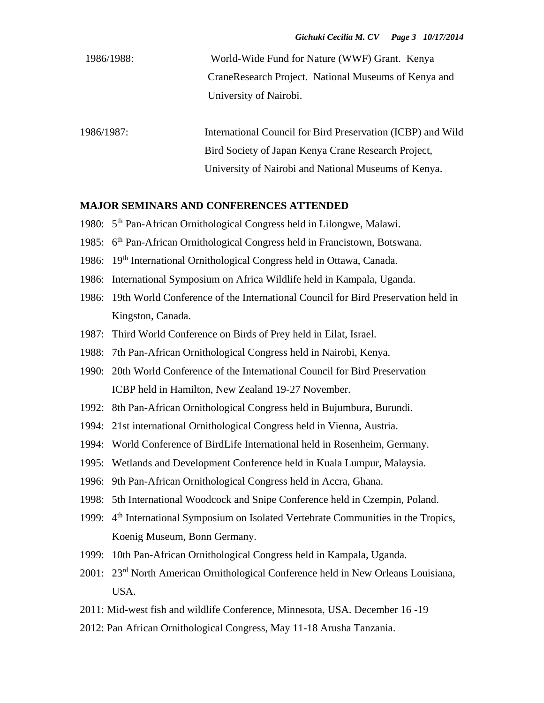| 1986/1988: | World-Wide Fund for Nature (WWF) Grant. Kenya        |
|------------|------------------------------------------------------|
|            | CraneResearch Project. National Museums of Kenya and |
|            | University of Nairobi.                               |

1986/1987: International Council for Bird Preservation (ICBP) and Wild Bird Society of Japan Kenya Crane Research Project, University of Nairobi and National Museums of Kenya.

### **MAJOR SEMINARS AND CONFERENCES ATTENDED**

- 1980: 5<sup>th</sup> Pan-African Ornithological Congress held in Lilongwe, Malawi.
- 1985: 6<sup>th</sup> Pan-African Ornithological Congress held in Francistown, Botswana.
- 1986: 19<sup>th</sup> International Ornithological Congress held in Ottawa, Canada.
- 1986: International Symposium on Africa Wildlife held in Kampala, Uganda.
- 1986: 19th World Conference of the International Council for Bird Preservation held in Kingston, Canada.
- 1987: Third World Conference on Birds of Prey held in Eilat, Israel.
- 1988: 7th Pan-African Ornithological Congress held in Nairobi, Kenya.
- 1990: 20th World Conference of the International Council for Bird Preservation ICBP held in Hamilton, New Zealand 19-27 November.
- 1992: 8th Pan-African Ornithological Congress held in Bujumbura, Burundi.
- 1994: 21st international Ornithological Congress held in Vienna, Austria.
- 1994: World Conference of BirdLife International held in Rosenheim, Germany.
- 1995: Wetlands and Development Conference held in Kuala Lumpur, Malaysia.
- 1996: 9th Pan-African Ornithological Congress held in Accra, Ghana.
- 1998: 5th International Woodcock and Snipe Conference held in Czempin, Poland.
- 1999: 4<sup>th</sup> International Symposium on Isolated Vertebrate Communities in the Tropics, Koenig Museum, Bonn Germany.
- 1999: 10th Pan-African Ornithological Congress held in Kampala, Uganda.
- 2001: 23rd North American Ornithological Conference held in New Orleans Louisiana, USA.
- 2011: Mid-west fish and wildlife Conference, Minnesota, USA. December 16 -19
- 2012: Pan African Ornithological Congress, May 11-18 Arusha Tanzania.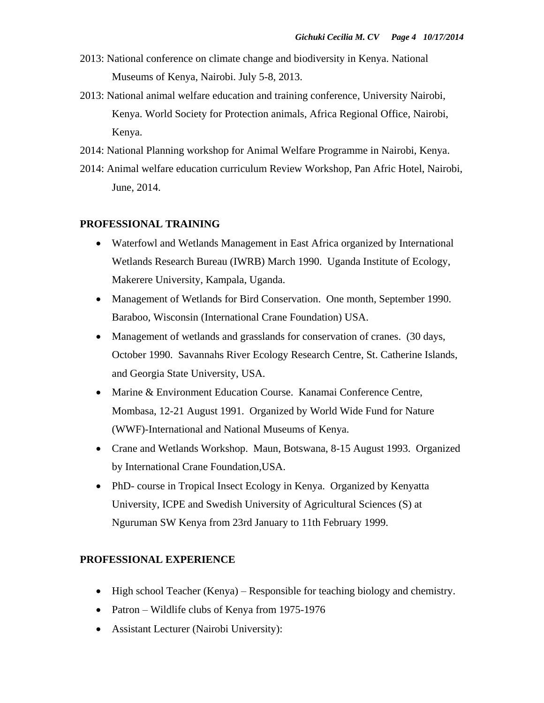- 2013: National conference on climate change and biodiversity in Kenya. National Museums of Kenya, Nairobi. July 5-8, 2013.
- 2013: National animal welfare education and training conference, University Nairobi, Kenya. World Society for Protection animals, Africa Regional Office, Nairobi, Kenya.
- 2014: National Planning workshop for Animal Welfare Programme in Nairobi, Kenya.
- 2014: Animal welfare education curriculum Review Workshop, Pan Afric Hotel, Nairobi, June, 2014.

## **PROFESSIONAL TRAINING**

- Waterfowl and Wetlands Management in East Africa organized by International Wetlands Research Bureau (IWRB) March 1990. Uganda Institute of Ecology, Makerere University, Kampala, Uganda.
- Management of Wetlands for Bird Conservation. One month, September 1990. Baraboo, Wisconsin (International Crane Foundation) USA.
- Management of wetlands and grasslands for conservation of cranes. (30 days, October 1990. Savannahs River Ecology Research Centre, St. Catherine Islands, and Georgia State University, USA.
- Marine & Environment Education Course. Kanamai Conference Centre, Mombasa, 12-21 August 1991. Organized by World Wide Fund for Nature (WWF)-International and National Museums of Kenya.
- Crane and Wetlands Workshop. Maun, Botswana, 8-15 August 1993. Organized by International Crane Foundation,USA.
- PhD- course in Tropical Insect Ecology in Kenya. Organized by Kenyatta University, ICPE and Swedish University of Agricultural Sciences (S) at Nguruman SW Kenya from 23rd January to 11th February 1999.

#### **PROFESSIONAL EXPERIENCE**

- High school Teacher (Kenya) Responsible for teaching biology and chemistry.
- Patron Wildlife clubs of Kenya from 1975-1976
- Assistant Lecturer (Nairobi University):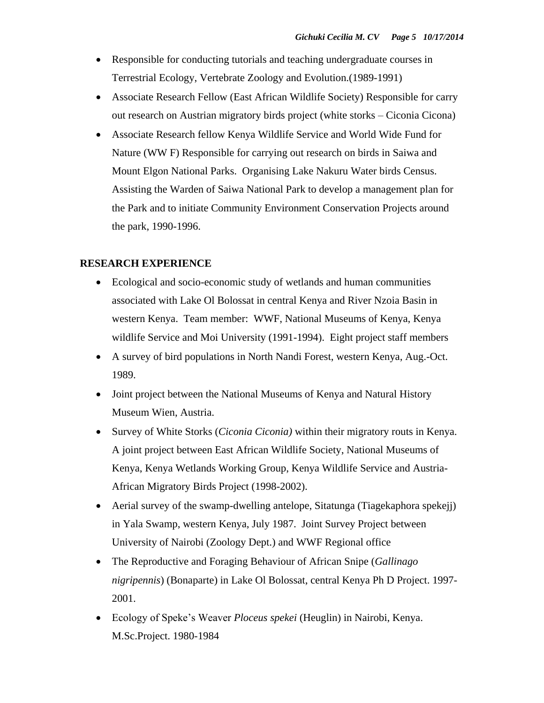- Responsible for conducting tutorials and teaching undergraduate courses in Terrestrial Ecology, Vertebrate Zoology and Evolution.(1989-1991)
- Associate Research Fellow (East African Wildlife Society) Responsible for carry out research on Austrian migratory birds project (white storks – Ciconia Cicona)
- Associate Research fellow Kenya Wildlife Service and World Wide Fund for Nature (WW F) Responsible for carrying out research on birds in Saiwa and Mount Elgon National Parks. Organising Lake Nakuru Water birds Census. Assisting the Warden of Saiwa National Park to develop a management plan for the Park and to initiate Community Environment Conservation Projects around the park, 1990-1996.

## **RESEARCH EXPERIENCE**

- Ecological and socio-economic study of wetlands and human communities associated with Lake Ol Bolossat in central Kenya and River Nzoia Basin in western Kenya. Team member: WWF, National Museums of Kenya, Kenya wildlife Service and Moi University (1991-1994). Eight project staff members
- A survey of bird populations in North Nandi Forest, western Kenya, Aug.-Oct. 1989.
- Joint project between the National Museums of Kenya and Natural History Museum Wien, Austria.
- Survey of White Storks (*Ciconia Ciconia)* within their migratory routs in Kenya. A joint project between East African Wildlife Society, National Museums of Kenya, Kenya Wetlands Working Group, Kenya Wildlife Service and Austria-African Migratory Birds Project (1998-2002).
- Aerial survey of the swamp-dwelling antelope, Sitatunga (Tiagekaphora spekejj) in Yala Swamp, western Kenya, July 1987. Joint Survey Project between University of Nairobi (Zoology Dept.) and WWF Regional office
- The Reproductive and Foraging Behaviour of African Snipe (*Gallinago nigripennis*) (Bonaparte) in Lake Ol Bolossat, central Kenya Ph D Project. 1997- 2001.
- Ecology of Speke's Weaver *Ploceus spekei* (Heuglin) in Nairobi, Kenya. M.Sc.Project. 1980-1984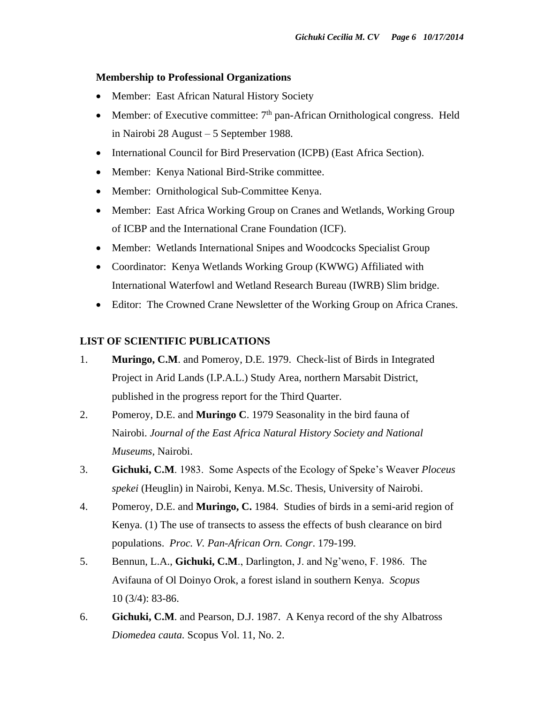#### **Membership to Professional Organizations**

- Member: East African Natural History Society
- Member: of Executive committee:  $7<sup>th</sup>$  pan-African Ornithological congress. Held in Nairobi 28 August – 5 September 1988.
- International Council for Bird Preservation (ICPB) (East Africa Section).
- Member: Kenya National Bird-Strike committee.
- Member: Ornithological Sub-Committee Kenya.
- Member: East Africa Working Group on Cranes and Wetlands, Working Group of ICBP and the International Crane Foundation (ICF).
- Member: Wetlands International Snipes and Woodcocks Specialist Group
- Coordinator: Kenya Wetlands Working Group (KWWG) Affiliated with International Waterfowl and Wetland Research Bureau (IWRB) Slim bridge.
- Editor: The Crowned Crane Newsletter of the Working Group on Africa Cranes.

### **LIST OF SCIENTIFIC PUBLICATIONS**

- 1. **Muringo, C.M**. and Pomeroy, D.E. 1979. Check-list of Birds in Integrated Project in Arid Lands (I.P.A.L.) Study Area, northern Marsabit District, published in the progress report for the Third Quarter.
- 2. Pomeroy, D.E. and **Muringo C**. 1979 Seasonality in the bird fauna of Nairobi. *Journal of the East Africa Natural History Society and National Museums,* Nairobi.
- 3. **Gichuki, C.M**. 1983. Some Aspects of the Ecology of Speke's Weaver *Ploceus spekei* (Heuglin) in Nairobi, Kenya. M.Sc. Thesis, University of Nairobi.
- 4. Pomeroy, D.E. and **Muringo, C.** 1984. Studies of birds in a semi-arid region of Kenya. (1) The use of transects to assess the effects of bush clearance on bird populations. *Proc. V. Pan-African Orn. Congr*. 179-199.
- 5. Bennun, L.A., **Gichuki, C.M**., Darlington, J. and Ng'weno, F. 1986. The Avifauna of Ol Doinyo Orok, a forest island in southern Kenya. *Scopus*  10 (3/4): 83-86.
- 6. **Gichuki, C.M**. and Pearson, D.J. 1987. A Kenya record of the shy Albatross *Diomedea cauta.* Scopus Vol. 11, No. 2.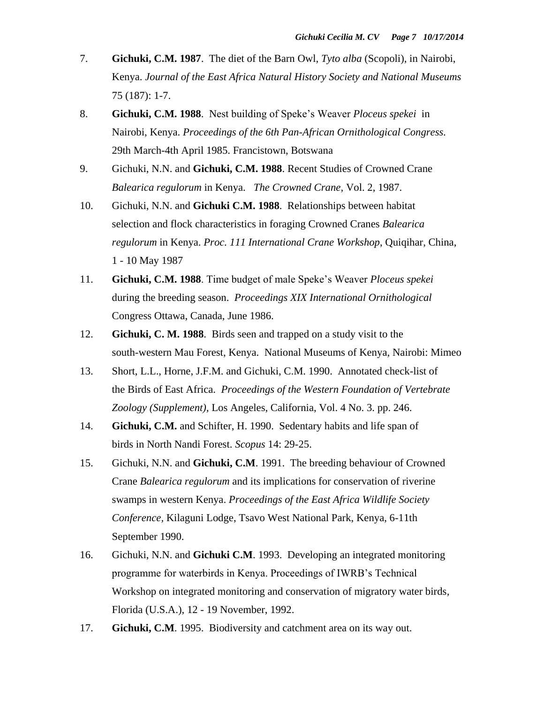- 7. **Gichuki, C.M. 1987**. The diet of the Barn Owl, *Tyto alba* (Scopoli), in Nairobi, Kenya. *Journal of the East Africa Natural History Society and National Museums* 75 (187): 1-7.
- 8. **Gichuki, C.M. 1988**. Nest building of Speke's Weaver *Ploceus spekei* in Nairobi, Kenya. *Proceedings of the 6th Pan-African Ornithological Congress.* 29th March-4th April 1985. Francistown, Botswana
- 9. Gichuki, N.N. and **Gichuki, C.M. 1988**. Recent Studies of Crowned Crane *Balearica regulorum* in Kenya. *The Crowned Crane,* Vol. 2, 1987.
- 10. Gichuki, N.N. and **Gichuki C.M. 1988**. Relationships between habitat selection and flock characteristics in foraging Crowned Cranes *Balearica regulorum* in Kenya. *Proc. 111 International Crane Workshop*, Quiqihar, China, 1 - 10 May 1987
- 11. **Gichuki, C.M. 1988**. Time budget of male Speke's Weaver *Ploceus spekei* during the breeding season. *Proceedings XIX International Ornithological* Congress Ottawa, Canada, June 1986.
- 12. **Gichuki, C. M. 1988**. Birds seen and trapped on a study visit to the south-western Mau Forest, Kenya. National Museums of Kenya, Nairobi: Mimeo
- 13. Short, L.L., Horne, J.F.M. and Gichuki, C.M. 1990. Annotated check-list of the Birds of East Africa. *Proceedings of the Western Foundation of Vertebrate Zoology (Supplement),* Los Angeles, California, Vol. 4 No. 3. pp. 246.
- 14. **Gichuki, C.M.** and Schifter, H. 1990. Sedentary habits and life span of birds in North Nandi Forest. *Scopus* 14: 29-25.
- 15. Gichuki, N.N. and **Gichuki, C.M**. 1991. The breeding behaviour of Crowned Crane *Balearica regulorum* and its implications for conservation of riverine swamps in western Kenya. *Proceedings of the East Africa Wildlife Society Conference,* Kilaguni Lodge, Tsavo West National Park, Kenya, 6-11th September 1990.
- 16. Gichuki, N.N. and **Gichuki C.M**. 1993. Developing an integrated monitoring programme for waterbirds in Kenya. Proceedings of IWRB's Technical Workshop on integrated monitoring and conservation of migratory water birds*,* Florida (U.S.A.), 12 - 19 November, 1992.
- 17. **Gichuki, C.M**. 1995. Biodiversity and catchment area on its way out.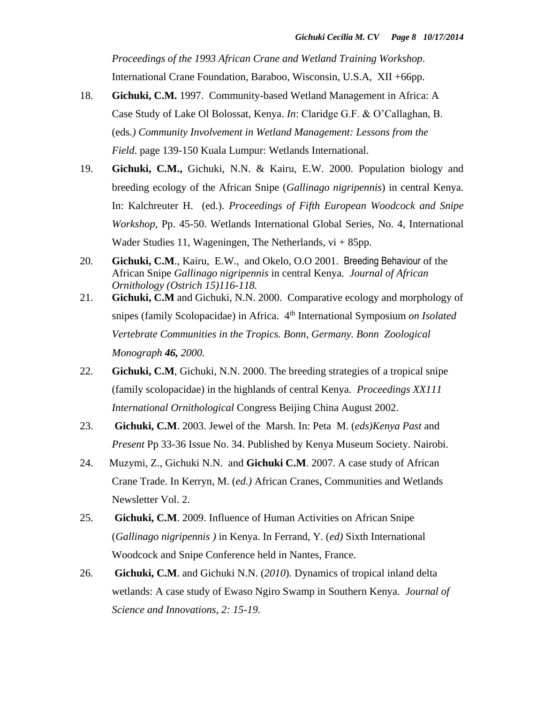*Proceedings of the 1993 African Crane and Wetland Training Workshop*. International Crane Foundation, Baraboo, Wisconsin, U.S.A, XII +66pp.

- 18. **Gichuki, C.M.** 1997. Community-based Wetland Management in Africa: A Case Study of Lake Ol Bolossat, Kenya. *In*: Claridge G.F. & O'Callaghan, B. (eds*.) Community Involvement in Wetland Management: Lessons from the Field*. page 139-150 Kuala Lumpur: Wetlands International.
- 19. **Gichuki, C.M.,** Gichuki, N.N. & Kairu, E.W. 2000. Population biology and breeding ecology of the African Snipe (*Gallinago nigripennis*) in central Kenya. In: Kalchreuter H. (ed.). *Proceedings of Fifth European Woodcock and Snipe Workshop,* Pp. 45-50. Wetlands International Global Series, No. 4, International Wader Studies 11, Wageningen, The Netherlands,  $vi + 85$ pp.
- 20. **Gichuki, C.M**., Kairu, E.W., and Okelo, O.O 2001. Breeding Behaviour of the African Snipe *Gallinago nigripennis* in central Kenya. *Journal of African Ornithology (Ostrich 15)116-118.*
- 21. **Gichuki, C.M** and Gichuki, N.N. 2000. Comparative ecology and morphology of snipes (family Scolopacidae) in Africa. 4<sup>th</sup> International Symposium *on Isolated Vertebrate Communities in the Tropics. Bonn, Germany. Bonn Zoological Monograph 46, 2000.*
- 22. **Gichuki, C.M**, Gichuki, N.N. 2000. The breeding strategies of a tropical snipe (family scolopacidae) in the highlands of central Kenya. *Proceedings XX111 International Ornithological* Congress Beijing China August 2002.
- 23. **Gichuki, C.M**. 2003. Jewel of the Marsh. In: Peta M. (*eds)Kenya Past* and *Present* Pp 33-36 Issue No. 34. Published by Kenya Museum Society. Nairobi.
- 24. Muzymi, Z., Gichuki N.N. and **Gichuki C.M**. 2007. A case study of African Crane Trade. In Kerryn, M. (*ed.)* African Cranes, Communities and Wetlands Newsletter Vol. 2.
- 25. **Gichuki, C.M**. 2009. Influence of Human Activities on African Snipe (*Gallinago nigripennis )* in Kenya. In Ferrand, Y. (*ed)* Sixth International Woodcock and Snipe Conference held in Nantes, France.
- 26. **Gichuki, C.M**. and Gichuki N.N. (*2010*). Dynamics of tropical inland delta wetlands: A case study of Ewaso Ngiro Swamp in Southern Kenya. *Journal of Science and Innovations, 2: 15-19.*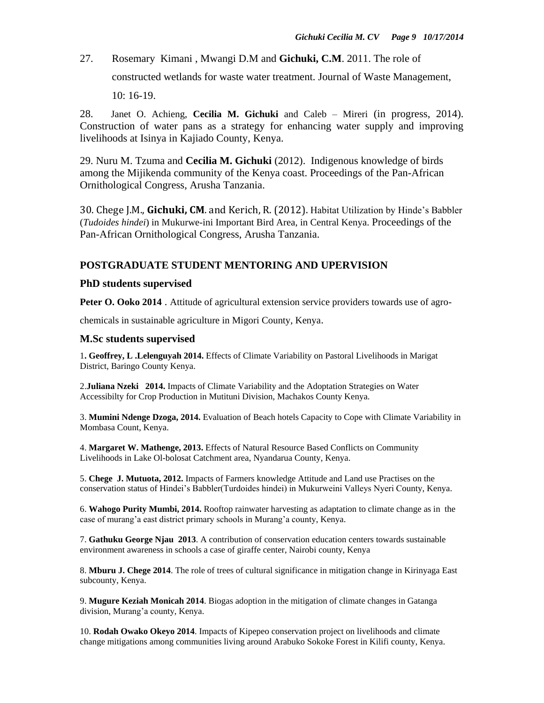27. Rosemary Kimani , Mwangi D.M and **Gichuki, C.M**. 2011. The role of constructed wetlands for waste water treatment. Journal of Waste Management, 10: 16-19.

28. Janet O. Achieng, **Cecilia M. Gichuki** and Caleb – Mireri (in progress, 2014). Construction of water pans as a strategy for enhancing water supply and improving livelihoods at Isinya in Kajiado County, Kenya.

29. Nuru M. Tzuma and **Cecilia M. Gichuki** (2012). Indigenous knowledge of birds among the Mijikenda community of the Kenya coast. Proceedings of the Pan-African Ornithological Congress, Arusha Tanzania.

30. Chege J.M., **Gichuki, CM**. and Kerich, R. (2012). Habitat Utilization by Hinde's Babbler (*Tudoides hindei*) in Mukurwe-ini Important Bird Area, in Central Kenya. Proceedings of the Pan-African Ornithological Congress, Arusha Tanzania.

## **POSTGRADUATE STUDENT MENTORING AND UPERVISION**

#### **PhD students supervised**

**Peter O. Ooko 2014** . Attitude of agricultural extension service providers towards use of agro-

chemicals in sustainable agriculture in Migori County, Kenya.

#### **M.Sc students supervised**

1**. Geoffrey, L .Lelenguyah 2014.** Effects of Climate Variability on Pastoral Livelihoods in Marigat District, Baringo County Kenya.

2.**Juliana Nzeki 2014.** Impacts of Climate Variability and the Adoptation Strategies on Water Accessibilty for Crop Production in Mutituni Division, Machakos County Kenya.

3. **Mumini Ndenge Dzoga, 2014.** Evaluation of Beach hotels Capacity to Cope with Climate Variability in Mombasa Count, Kenya.

4. **Margaret W. Mathenge, 2013.** Effects of Natural Resource Based Conflicts on Community Livelihoods in Lake Ol-bolosat Catchment area, Nyandarua County, Kenya.

5. **Chege J. Mutuota, 2012.** Impacts of Farmers knowledge Attitude and Land use Practises on the conservation status of Hindei's Babbler(Turdoides hindei) in Mukurweini Valleys Nyeri County, Kenya.

6. **Wahogo Purity Mumbi, 2014.** Rooftop rainwater harvesting as adaptation to climate change as in the case of murang'a east district primary schools in Murang'a county, Kenya.

7. **Gathuku George Njau 2013**. A contribution of conservation education centers towards sustainable environment awareness in schools a case of giraffe center, Nairobi county, Kenya

8. **Mburu J. Chege 2014**. The role of trees of cultural significance in mitigation change in Kirinyaga East subcounty, Kenya.

9. **Mugure Keziah Monicah 2014**. Biogas adoption in the mitigation of climate changes in Gatanga division, Murang'a county, Kenya.

10. **Rodah Owako Okeyo 2014**. Impacts of Kipepeo conservation project on livelihoods and climate change mitigations among communities living around Arabuko Sokoke Forest in Kilifi county, Kenya.